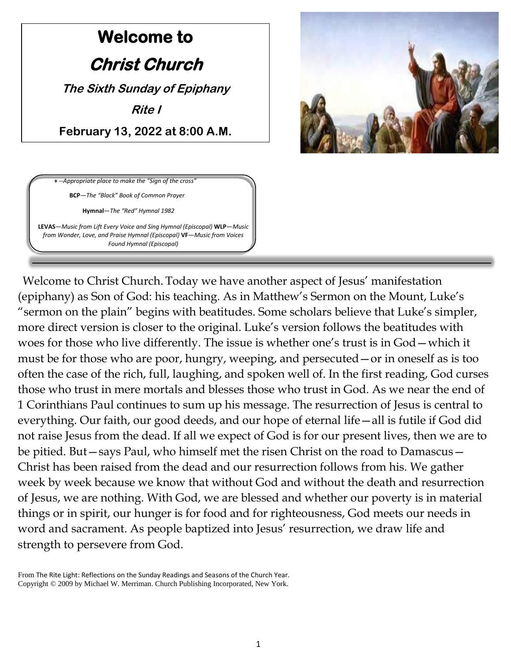# **Welcome to Christ Church The Sixth Sunday of Epiphany Rite I February 13, 2022 at 8:00 A.M.**



**+** --Appropriate place to make the "Sign of the cross" **BCP**—*The "Black" Book of Common Prayer*

**Hymnal**—*The "Red" Hymnal 1982*

**LEVAS**—*Music from Lift Every Voice and Sing Hymnal (Episcopal)* **WLP**—*Music from Wonder, Love, and Praise Hymnal (Episcopal)* **VF***—Music from Voices Found Hymnal (Episcopal)*

Welcome to Christ Church. Today we have another aspect of Jesus' manifestation (epiphany) as Son of God: his teaching. As in Matthew's Sermon on the Mount, Luke's "sermon on the plain" begins with beatitudes. Some scholars believe that Luke's simpler, more direct version is closer to the original. Luke's version follows the beatitudes with woes for those who live differently. The issue is whether one's trust is in God—which it must be for those who are poor, hungry, weeping, and persecuted—or in oneself as is too often the case of the rich, full, laughing, and spoken well of. In the first reading, God curses those who trust in mere mortals and blesses those who trust in God. As we near the end of 1 Corinthians Paul continues to sum up his message. The resurrection of Jesus is central to everything. Our faith, our good deeds, and our hope of eternal life—all is futile if God did not raise Jesus from the dead. If all we expect of God is for our present lives, then we are to be pitied. But—says Paul, who himself met the risen Christ on the road to Damascus— Christ has been raised from the dead and our resurrection follows from his. We gather week by week because we know that without God and without the death and resurrection of Jesus, we are nothing. With God, we are blessed and whether our poverty is in material things or in spirit, our hunger is for food and for righteousness, God meets our needs in word and sacrament. As people baptized into Jesus' resurrection, we draw life and strength to persevere from God.

From The Rite Light: Reflections on the Sunday Readings and Seasons of the Church Year. Copyright © 2009 by Michael W. Merriman. Church Publishing Incorporated, New York.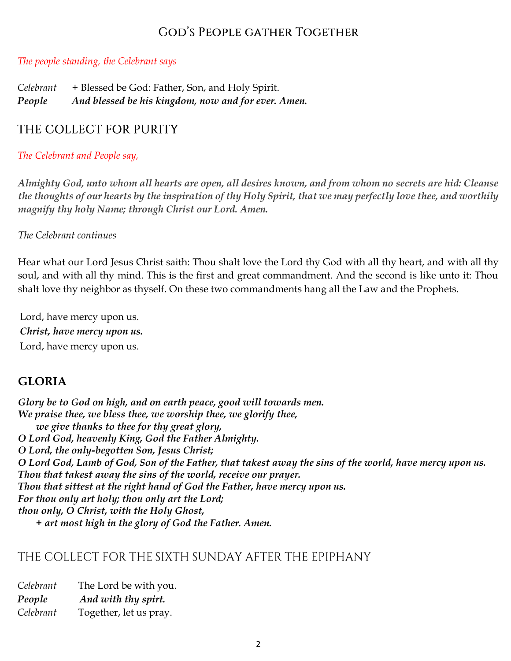# **GOD'S PEOPLE GATHER TOGETHER**

#### *The people standing, the Celebrant says*

| Celebrant | + Blessed be God: Father, Son, and Holy Spirit.     |
|-----------|-----------------------------------------------------|
| People    | And blessed be his kingdom, now and for ever. Amen. |

## THE COLLECT FOR PURITY

#### *The Celebrant and People say,*

*Almighty God, unto whom all hearts are open, all desires known, and from whom no secrets are hid: Cleanse the thoughts of our hearts by the inspiration of thy Holy Spirit, that we may perfectly love thee, and worthily magnify thy holy Name; through Christ our Lord. Amen.*

#### *The Celebrant continues*

Hear what our Lord Jesus Christ saith: Thou shalt love the Lord thy God with all thy heart, and with all thy soul, and with all thy mind. This is the first and great commandment. And the second is like unto it: Thou shalt love thy neighbor as thyself. On these two commandments hang all the Law and the Prophets.

Lord, have mercy upon us. *Christ, have mercy upon us.* Lord, have mercy upon us.

### **GLORIA**

*Glory be to God on high, and on earth peace, good will towards men. We praise thee, we bless thee, we worship thee, we glorify thee, we give thanks to thee for thy great glory, O Lord God, heavenly King, God the Father Almighty. O Lord, the only-begotten Son, Jesus Christ; O Lord God, Lamb of God, Son of the Father, that takest away the sins of the world, have mercy upon us. Thou that takest away the sins of the world, receive our prayer. Thou that sittest at the right hand of God the Father, have mercy upon us. For thou only art holy; thou only art the Lord; thou only, O Christ, with the Holy Ghost, + art most high in the glory of God the Father. Amen.*

# THE COLLECT FOR THE SIXTH SUNDAY AFTER THE EPIPHANY

| Celebrant | The Lord be with you.  |  |
|-----------|------------------------|--|
| People    | And with thy spirt.    |  |
| Celebrant | Together, let us pray. |  |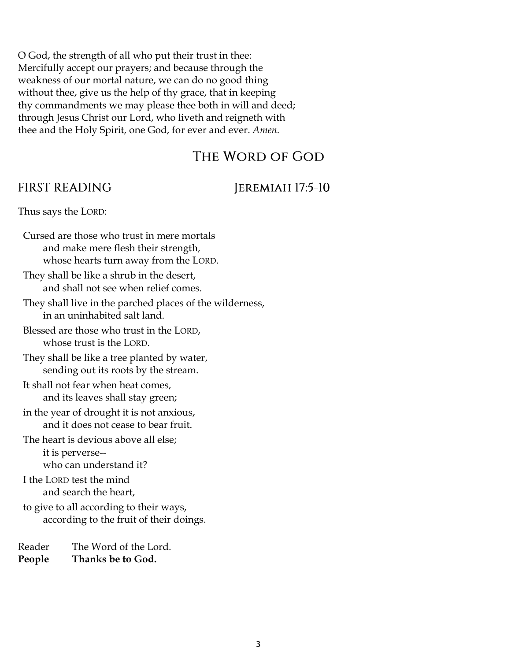O God, the strength of all who put their trust in thee: Mercifully accept our prayers; and because through the weakness of our mortal nature, we can do no good thing without thee, give us the help of thy grace, that in keeping thy commandments we may please thee both in will and deed; through Jesus Christ our Lord, who liveth and reigneth with thee and the Holy Spirit, one God, for ever and ever. *Amen.*

# THE WORD OF GOD

# **FIRST READING**

# JEREMIAH 17:5-10

Thus says the LORD:

Cursed are those who trust in mere mortals and make mere flesh their strength, whose hearts turn away from the LORD.

- They shall be like a shrub in the desert, and shall not see when relief comes.
- They shall live in the parched places of the wilderness, in an uninhabited salt land.
- Blessed are those who trust in the LORD, whose trust is the LORD.
- They shall be like a tree planted by water, sending out its roots by the stream.
- It shall not fear when heat comes, and its leaves shall stay green;
- in the year of drought it is not anxious, and it does not cease to bear fruit.
- The heart is devious above all else;

it is perverse- who can understand it?

I the LORD test the mind and search the heart,

to give to all according to their ways, according to the fruit of their doings.

Reader The Word of the Lord. **People Thanks be to God.**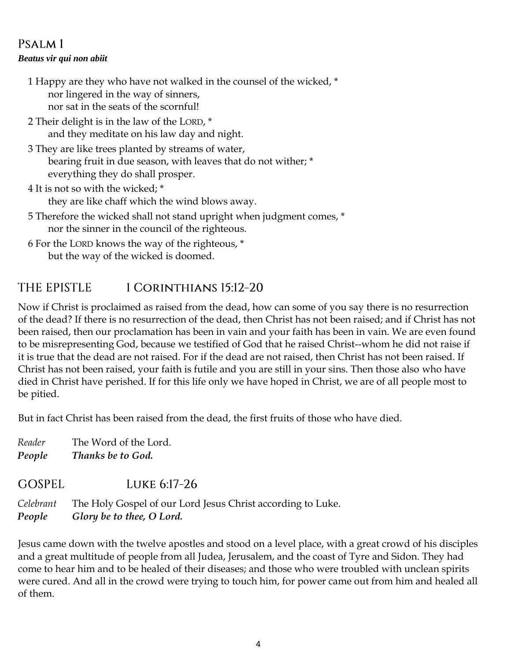# PSALM<sub>1</sub>

#### *Beatus vir qui non abiit*

1 Happy are they who have not walked in the counsel of the wicked, \* nor lingered in the way of sinners, nor sat in the seats of the scornful!

2 Their delight is in the law of the LORD, \* and they meditate on his law day and night.

3 They are like trees planted by streams of water, bearing fruit in due season, with leaves that do not wither; \* everything they do shall prosper.

4 It is not so with the wicked; \* they are like chaff which the wind blows away.

5 Therefore the wicked shall not stand upright when judgment comes, \* nor the sinner in the council of the righteous.

6 For the LORD knows the way of the righteous, \* but the way of the wicked is doomed.

#### 1 CORINTHIANS 15:12-20 **THE EPISTLE**

Now if Christ is proclaimed as raised from the dead, how can some of you say there is no resurrection of the dead? If there is no resurrection of the dead, then Christ has not been raised; and if Christ has not been raised, then our proclamation has been in vain and your faith has been in vain. We are even found to be misrepresenting God, because we testified of God that he raised Christ--whom he did not raise if it is true that the dead are not raised. For if the dead are not raised, then Christ has not been raised. If Christ has not been raised, your faith is futile and you are still in your sins. Then those also who have died in Christ have perished. If for this life only we have hoped in Christ, we are of all people most to be pitied.

But in fact Christ has been raised from the dead, the first fruits of those who have died.

*Reader* The Word of the Lord. *People Thanks be to God.* 

GOSPEL. LUKE 6:17-26

*Celebrant* The Holy Gospel of our Lord Jesus Christ according to Luke. *People Glory be to thee, O Lord.* 

Jesus came down with the twelve apostles and stood on a level place, with a great crowd of his disciples and a great multitude of people from all Judea, Jerusalem, and the coast of Tyre and Sidon. They had come to hear him and to be healed of their diseases; and those who were troubled with unclean spirits were cured. And all in the crowd were trying to touch him, for power came out from him and healed all of them.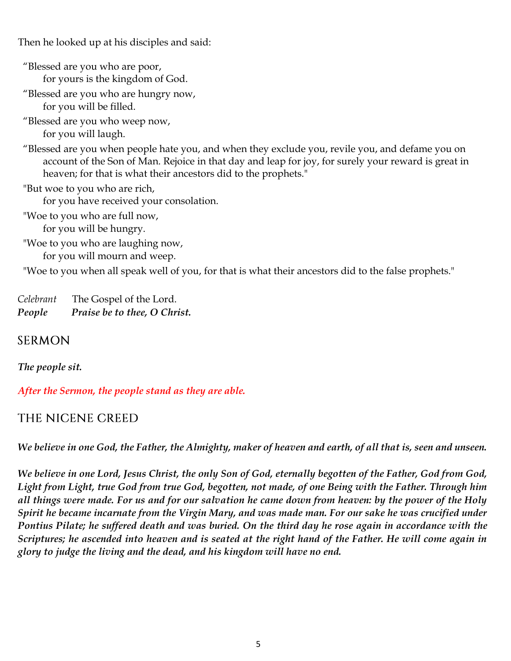Then he looked up at his disciples and said:

"Blessed are you who are poor, for yours is the kingdom of God. "Blessed are you who are hungry now, for you will be filled. "Blessed are you who weep now, for you will laugh. "Blessed are you when people hate you, and when they exclude you, revile you, and defame you on account of the Son of Man. Rejoice in that day and leap for joy, for surely your reward is great in heaven; for that is what their ancestors did to the prophets." "But woe to you who are rich, for you have received your consolation. "Woe to you who are full now, for you will be hungry. "Woe to you who are laughing now, for you will mourn and weep.

"Woe to you when all speak well of you, for that is what their ancestors did to the false prophets."

*Celebrant* The Gospel of the Lord. *People Praise be to thee, O Christ.* 

# **SERMON**

*The people sit.* 

### *After the Sermon, the people stand as they are able.*

# THE NICENE CREED

*We believe in one God, the Father, the Almighty, maker of heaven and earth, of all that is, seen and unseen.* 

*We believe in one Lord, Jesus Christ, the only Son of God, eternally begotten of the Father, God from God, Light from Light, true God from true God, begotten, not made, of one Being with the Father. Through him all things were made. For us and for our salvation he came down from heaven: by the power of the Holy Spirit he became incarnate from the Virgin Mary, and was made man. For our sake he was crucified under Pontius Pilate; he suffered death and was buried. On the third day he rose again in accordance with the Scriptures; he ascended into heaven and is seated at the right hand of the Father. He will come again in glory to judge the living and the dead, and his kingdom will have no end.*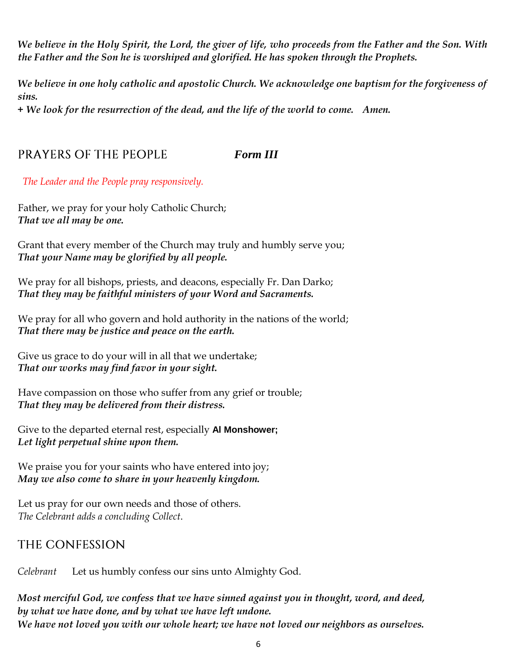*We believe in the Holy Spirit, the Lord, the giver of life, who proceeds from the Father and the Son. With the Father and the Son he is worshiped and glorified. He has spoken through the Prophets.* 

*We believe in one holy catholic and apostolic Church. We acknowledge one baptism for the forgiveness of sins.* 

*+ We look for the resurrection of the dead, and the life of the world to come. Amen.* 

#### *Form III* **PRAYERS OF THE PEOPLE**

*The Leader and the People pray responsively.* 

Father, we pray for your holy Catholic Church; *That we all may be one.*

Grant that every member of the Church may truly and humbly serve you; *That your Name may be glorified by all people.*

We pray for all bishops, priests, and deacons, especially Fr. Dan Darko; *That they may be faithful ministers of your Word and Sacraments.*

We pray for all who govern and hold authority in the nations of the world; *That there may be justice and peace on the earth.*

Give us grace to do your will in all that we undertake; *That our works may find favor in your sight.*

Have compassion on those who suffer from any grief or trouble; *That they may be delivered from their distress.*

Give to the departed eternal rest, especially **Al Monshower;** *Let light perpetual shine upon them.*

We praise you for your saints who have entered into joy; *May we also come to share in your heavenly kingdom.*

Let us pray for our own needs and those of others. *The Celebrant adds a concluding Collect*.

# THE CONFESSION

*Celebrant* Let us humbly confess our sins unto Almighty God.

*Most merciful God, we confess that we have sinned against you in thought, word, and deed, by what we have done, and by what we have left undone. We have not loved you with our whole heart; we have not loved our neighbors as ourselves.*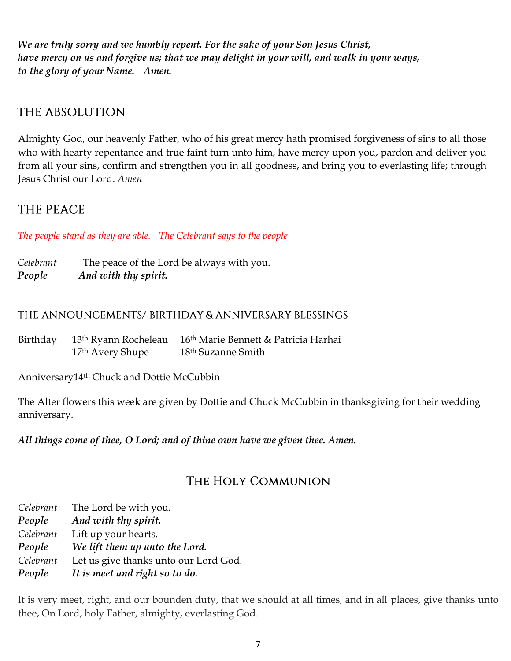*We are truly sorry and we humbly repent. For the sake of your Son Jesus Christ, have mercy on us and forgive us; that we may delight in your will, and walk in your ways, to the glory of your Name. Amen.*

# THE ABSOLUTION

Almighty God, our heavenly Father, who of his great mercy hath promised forgiveness of sins to all those who with hearty repentance and true faint turn unto him, have mercy upon you, pardon and deliver you from all your sins, confirm and strengthen you in all goodness, and bring you to everlasting life; through Jesus Christ our Lord. *Amen*

# **THE PEACE**

*The people stand as they are able. The Celebrant says to the people* 

*Celebrant* The peace of the Lord be always with you. *People And with thy spirit.* 

### THE ANNOUNCEMENTS/BIRTHDAY & ANNIVERSARY BLESSINGS

| Birthday |                              | 13 <sup>th</sup> Ryann Rocheleau 16 <sup>th</sup> Marie Bennett & Patricia Harhai |
|----------|------------------------------|-----------------------------------------------------------------------------------|
|          | 17 <sup>th</sup> Avery Shupe | 18 <sup>th</sup> Suzanne Smith                                                    |

Anniversary14th Chuck and Dottie McCubbin

The Alter flowers this week are given by Dottie and Chuck McCubbin in thanksgiving for their wedding anniversary.

*All things come of thee, O Lord; and of thine own have we given thee. Amen.* 

# THE HOLY COMMUNION

| Celebrant | The Lord be with you.                 |
|-----------|---------------------------------------|
| People    | And with thy spirit.                  |
| Celebrant | Lift up your hearts.                  |
| People    | We lift them up unto the Lord.        |
| Celebrant | Let us give thanks unto our Lord God. |
| People    | It is meet and right so to do.        |

It is very meet, right, and our bounden duty, that we should at all times, and in all places, give thanks unto thee, On Lord, holy Father, almighty, everlasting God.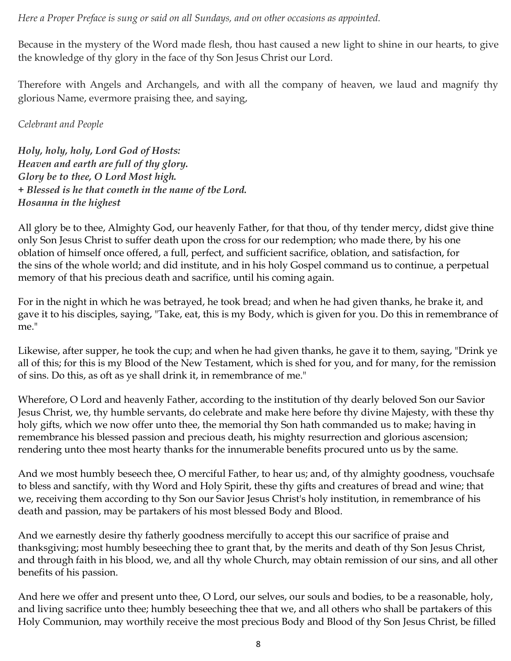*Here a Proper Preface is sung or said on all Sundays, and on other occasions as appointed.*

Because in the mystery of the Word made flesh, thou hast caused a new light to shine in our hearts, to give the knowledge of thy glory in the face of thy Son Jesus Christ our Lord.

Therefore with Angels and Archangels, and with all the company of heaven, we laud and magnify thy glorious Name, evermore praising thee, and saying,

### *Celebrant and People*

*Holy, holy, holy, Lord God of Hosts: Heaven and earth are full of thy glory. Glory be to thee, O Lord Most high. + Blessed is he that cometh in the name of tbe Lord. Hosanna in the highest*

All glory be to thee, Almighty God, our heavenly Father, for that thou, of thy tender mercy, didst give thine only Son Jesus Christ to suffer death upon the cross for our redemption; who made there, by his one oblation of himself once offered, a full, perfect, and sufficient sacrifice, oblation, and satisfaction, for the sins of the whole world; and did institute, and in his holy Gospel command us to continue, a perpetual memory of that his precious death and sacrifice, until his coming again.

For in the night in which he was betrayed, he took bread; and when he had given thanks, he brake it, and gave it to his disciples, saying, "Take, eat, this is my Body, which is given for you. Do this in remembrance of me."

Likewise, after supper, he took the cup; and when he had given thanks, he gave it to them, saying, "Drink ye all of this; for this is my Blood of the New Testament, which is shed for you, and for many, for the remission of sins. Do this, as oft as ye shall drink it, in remembrance of me."

Wherefore, O Lord and heavenly Father, according to the institution of thy dearly beloved Son our Savior Jesus Christ, we, thy humble servants, do celebrate and make here before thy divine Majesty, with these thy holy gifts, which we now offer unto thee, the memorial thy Son hath commanded us to make; having in remembrance his blessed passion and precious death, his mighty resurrection and glorious ascension; rendering unto thee most hearty thanks for the innumerable benefits procured unto us by the same.

And we most humbly beseech thee, O merciful Father, to hear us; and, of thy almighty goodness, vouchsafe to bless and sanctify, with thy Word and Holy Spirit, these thy gifts and creatures of bread and wine; that we, receiving them according to thy Son our Savior Jesus Christ's holy institution, in remembrance of his death and passion, may be partakers of his most blessed Body and Blood.

And we earnestly desire thy fatherly goodness mercifully to accept this our sacrifice of praise and thanksgiving; most humbly beseeching thee to grant that, by the merits and death of thy Son Jesus Christ, and through faith in his blood, we, and all thy whole Church, may obtain remission of our sins, and all other benefits of his passion.

And here we offer and present unto thee, O Lord, our selves, our souls and bodies, to be a reasonable, holy, and living sacrifice unto thee; humbly beseeching thee that we, and all others who shall be partakers of this Holy Communion, may worthily receive the most precious Body and Blood of thy Son Jesus Christ, be filled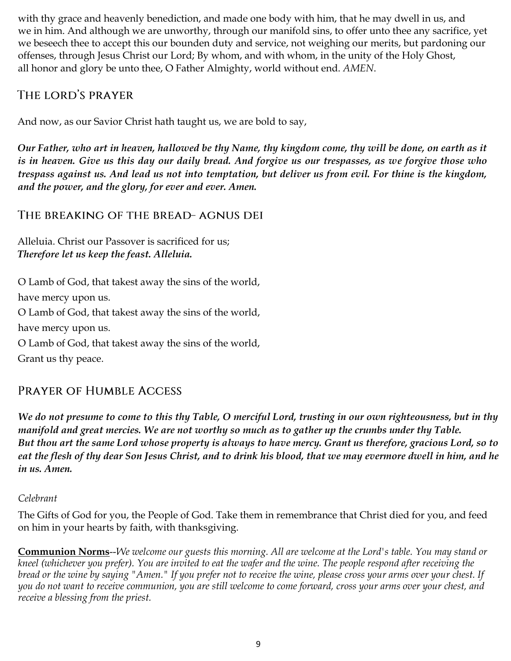with thy grace and heavenly benediction, and made one body with him, that he may dwell in us, and we in him. And although we are unworthy, through our manifold sins, to offer unto thee any sacrifice, yet we beseech thee to accept this our bounden duty and service, not weighing our merits, but pardoning our offenses, through Jesus Christ our Lord; By whom, and with whom, in the unity of the Holy Ghost, all honor and glory be unto thee, O Father Almighty, world without end. *AMEN*.

# THE LORD'S PRAYER

And now, as our Savior Christ hath taught us, we are bold to say,

*Our Father, who art in heaven, hallowed be thy Name, thy kingdom come, thy will be done, on earth as it is in heaven. Give us this day our daily bread. And forgive us our trespasses, as we forgive those who trespass against us. And lead us not into temptation, but deliver us from evil. For thine is the kingdom, and the power, and the glory, for ever and ever. Amen.* 

# THE BREAKING OF THE BREAD-AGNUS DEI

Alleluia. Christ our Passover is sacrificed for us; *Therefore let us keep the feast. Alleluia.* 

O Lamb of God, that takest away the sins of the world, have mercy upon us. O Lamb of God, that takest away the sins of the world, have mercy upon us. O Lamb of God, that takest away the sins of the world, Grant us thy peace.

# **PRAYER OF HUMBLE ACCESS**

*We do not presume to come to this thy Table, O merciful Lord, trusting in our own righteousness, but in thy manifold and great mercies. We are not worthy so much as to gather up the crumbs under thy Table. But thou art the same Lord whose property is always to have mercy. Grant us therefore, gracious Lord, so to eat the flesh of thy dear Son Jesus Christ, and to drink his blood, that we may evermore dwell in him, and he in us. Amen.*

### *Celebrant*

The Gifts of God for you, the People of God. Take them in remembrance that Christ died for you, and feed on him in your hearts by faith, with thanksgiving.

**Communion Norms**--*We welcome our guests this morning. All are welcome at the Lord's table. You may stand or kneel (whichever you prefer). You are invited to eat the wafer and the wine. The people respond after receiving the bread or the wine by saying "Amen." If you prefer not to receive the wine, please cross your arms over your chest. If you do not want to receive communion, you are still welcome to come forward, cross your arms over your chest, and receive a blessing from the priest.*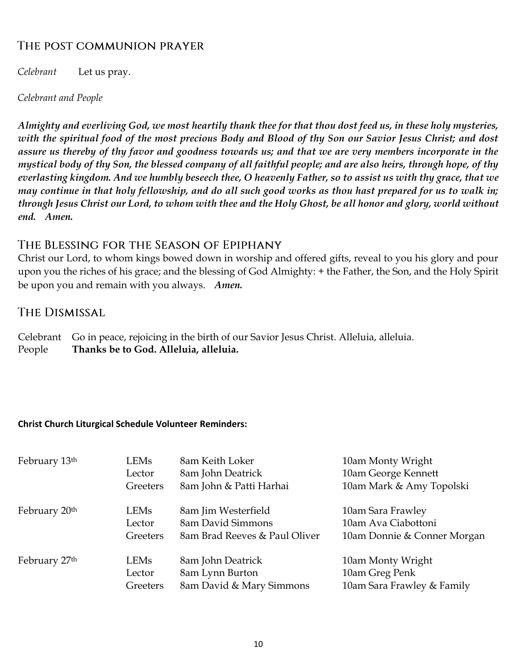# THE POST COMMUNION PRAYER

*Celebrant* Let us pray.

*Celebrant and People*

*Almighty and everliving God, we most heartily thank thee for that thou dost feed us, in these holy mysteries, with the spiritual food of the most precious Body and Blood of thy Son our Savior Jesus Christ; and dost assure us thereby of thy favor and goodness towards us; and that we are very members incorporate in the mystical body of thy Son, the blessed company of all faithful people; and are also heirs, through hope, of thy everlasting kingdom. And we humbly beseech thee, O heavenly Father, so to assist us with thy grace, that we may continue in that holy fellowship, and do all such good works as thou hast prepared for us to walk in; through Jesus Christ our Lord, to whom with thee and the Holy Ghost, be all honor and glory, world without end. Amen.*

# THE BLESSING FOR THE SEASON OF EPIPHANY

Christ our Lord, to whom kings bowed down in worship and offered gifts, reveal to you his glory and pour upon you the riches of his grace; and the blessing of God Almighty: + the Father, the Son, and the Holy Spirit be upon you and remain with you always. *Amen.*

# **THE DISMISSAL**

Celebrant Go in peace, rejoicing in the birth of our Savior Jesus Christ. Alleluia, alleluia. People **Thanks be to God. Alleluia, alleluia.**

### **Christ Church Liturgical Schedule Volunteer Reminders:**

| February 13 <sup>th</sup> | LEMs     | 8am Keith Loker               | 10am Monty Wright           |
|---------------------------|----------|-------------------------------|-----------------------------|
|                           | Lector   | 8am John Deatrick             | 10am George Kennett         |
|                           | Greeters | 8am John & Patti Harhai       | 10am Mark & Amy Topolski    |
| February 20 <sup>th</sup> | LEMs     | 8am Jim Westerfield           | 10am Sara Frawley           |
|                           | Lector   | 8am David Simmons             | 10am Ava Ciabottoni         |
|                           | Greeters | 8am Brad Reeves & Paul Oliver | 10am Donnie & Conner Morgan |
| February 27 <sup>th</sup> | LEMs     | 8am John Deatrick             | 10am Monty Wright           |
|                           | Lector   | 8am Lynn Burton               | 10am Greg Penk              |
|                           | Greeters | 8am David & Mary Simmons      | 10am Sara Frawley & Family  |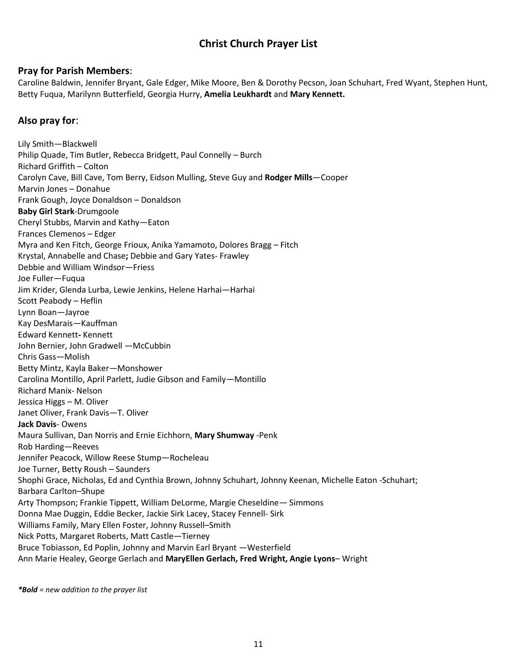# **Christ Church Prayer List**

#### **Pray for Parish Members**:

Caroline Baldwin, Jennifer Bryant, Gale Edger, Mike Moore, Ben & Dorothy Pecson, Joan Schuhart, Fred Wyant, Stephen Hunt, Betty Fuqua, Marilynn Butterfield, Georgia Hurry, **Amelia Leukhardt** and **Mary Kennett.**

#### **Also pray for**:

Lily Smith—Blackwell Philip Quade, Tim Butler, Rebecca Bridgett, Paul Connelly – Burch Richard Griffith – Colton Carolyn Cave, Bill Cave, Tom Berry, Eidson Mulling, Steve Guy and **Rodger Mills**—Cooper Marvin Jones – Donahue Frank Gough, Joyce Donaldson – Donaldson **Baby Girl Stark**-Drumgoole Cheryl Stubbs, Marvin and Kathy—Eaton Frances Clemenos – Edger Myra and Ken Fitch, George Frioux, Anika Yamamoto, Dolores Bragg – Fitch Krystal, Annabelle and Chase**;** Debbie and Gary Yates- Frawley Debbie and William Windsor—Friess Joe Fuller—Fuqua Jim Krider, Glenda Lurba, Lewie Jenkins, Helene Harhai—Harhai Scott Peabody – Heflin Lynn Boan—Jayroe Kay DesMarais—Kauffman Edward Kennett**-** Kennett John Bernier, John Gradwell —McCubbin Chris Gass—Molish Betty Mintz, Kayla Baker—Monshower Carolina Montillo, April Parlett, Judie Gibson and Family—Montillo Richard Manix- Nelson Jessica Higgs – M. Oliver Janet Oliver, Frank Davis—T. Oliver **Jack Davis**- Owens Maura Sullivan, Dan Norris and Ernie Eichhorn, **Mary Shumway** -Penk Rob Harding—Reeves Jennifer Peacock, Willow Reese Stump—Rocheleau Joe Turner, Betty Roush – Saunders Shophi Grace, Nicholas, Ed and Cynthia Brown, Johnny Schuhart, Johnny Keenan, Michelle Eaton -Schuhart; Barbara Carlton–Shupe Arty Thompson; Frankie Tippett, William DeLorme, Margie Cheseldine— Simmons Donna Mae Duggin, Eddie Becker, Jackie Sirk Lacey, Stacey Fennell- Sirk Williams Family, Mary Ellen Foster, Johnny Russell–Smith Nick Potts, Margaret Roberts, Matt Castle—Tierney Bruce Tobiasson, Ed Poplin, Johnny and Marvin Earl Bryant —Westerfield Ann Marie Healey, George Gerlach and **MaryEllen Gerlach, Fred Wright, Angie Lyons**– Wright

*\*Bold = new addition to the prayer list*